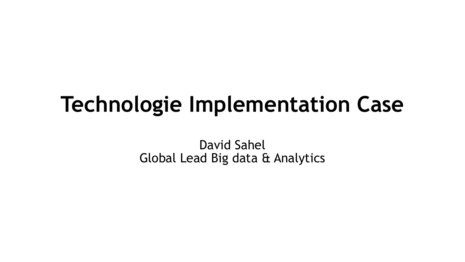## **Technologie Implementation Case**

David Sahel Global Lead Big data & Analytics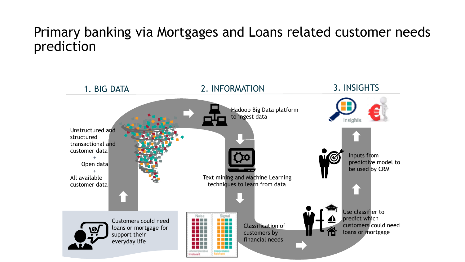#### Primary banking via Mortgages and Loans related customer needs prediction

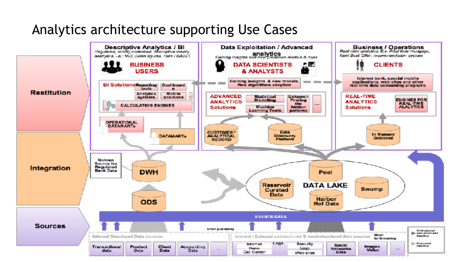#### Analytics architecture supporting Use Cases

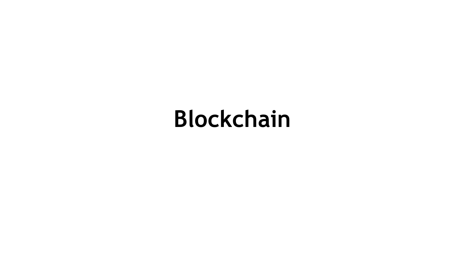# **Blockchain**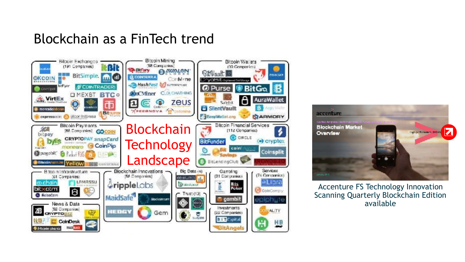#### Blockchain as a FinTech trend





Accenture FS Technology Innovation Scanning Quarterly Blockchain Edition available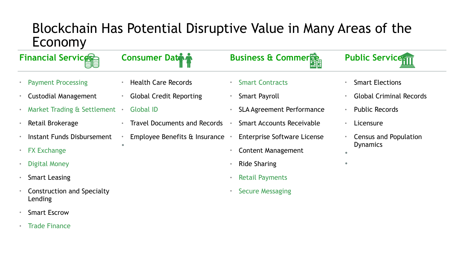#### Blockchain Has Potential Disruptive Value in Many Areas of the Economy

| <b>Financial Servicesc</b>                   | <b>Consumer Date &amp;</b>                    | <b>Business &amp; Commer</b>         | <b>Public Servicenti</b>            |
|----------------------------------------------|-----------------------------------------------|--------------------------------------|-------------------------------------|
| <b>Payment Processing</b>                    | <b>Health Care Records</b>                    | <b>Smart Contracts</b><br>$\bullet$  | <b>Smart Elections</b><br>$\bullet$ |
| <b>Custodial Management</b>                  | <b>Global Credit Reporting</b>                | <b>Smart Payroll</b>                 | <b>Global Criminal Records</b>      |
| Market Trading & Settlement .                | <b>Global ID</b>                              | <b>SLA Agreement Performance</b>     | <b>Public Records</b><br>$\bullet$  |
| Retail Brokerage                             | <b>Travel Documents and Records</b>           | <b>Smart Accounts Receivable</b>     | Licensure<br>$\bullet$              |
| Instant Funds Disbursement                   | Employee Benefits $\hat{a}$ Insurance $\cdot$ | <b>Enterprise Software License</b>   | Census and Population               |
| <b>FX Exchange</b>                           |                                               | <b>Content Management</b>            | <b>Dynamics</b>                     |
| Digital Money                                |                                               | <b>Ride Sharing</b>                  |                                     |
| <b>Smart Leasing</b>                         |                                               | <b>Retail Payments</b><br>$\bullet$  |                                     |
| <b>Construction and Specialty</b><br>Lending |                                               | <b>Secure Messaging</b><br>$\bullet$ |                                     |

- Smart Escrow
- Trade Finance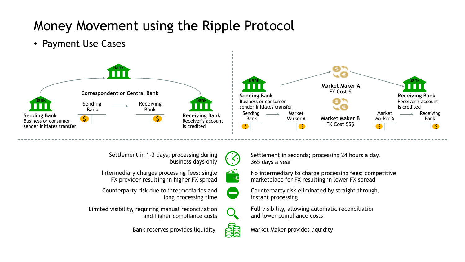### Money Movement using the Ripple Protocol

• Payment Use Cases





Settlement in 1-3 days; processing during business days only

Intermediary charges processing fees; single FX provider resulting in higher FX spread

Counterparty risk due to intermediaries and long processing time

Limited visibility, requiring manual reconciliation and higher compliance costs

Settlement in seconds; processing 24 hours a day, 365 days a year

No intermediary to charge processing fees; competitive marketplace for FX resulting in lower FX spread

Counterparty risk eliminated by straight through, instant processing

Full visibility, allowing automatic reconciliation and lower compliance costs

Bank reserves provides liquidity  $\overrightarrow{C}$  Market Maker provides liquidity

 $\bullet$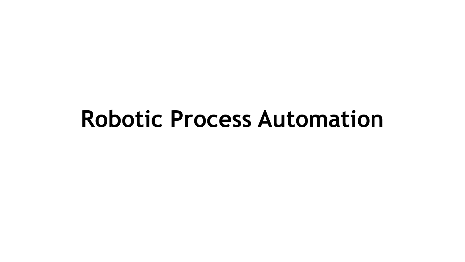## **Robotic Process Automation**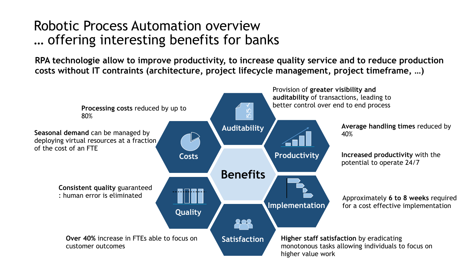#### Robotic Process Automation overview … offering interesting benefits for banks

**RPA technologie allow to improve productivity, to increase quality service and to reduce production costs without IT contraints (architecture, project lifecycle management, project timeframe, …)**